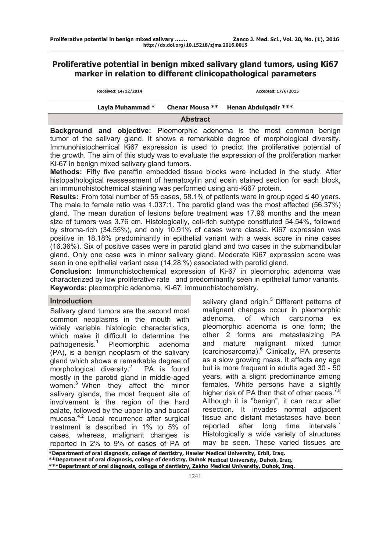# **Proliferative potential in benign mixed salivary gland tumors, using Ki67 marker in relation to different clinicopathological parameters**

| Received: 14/12/2014 |                 | Accepted: 17/6/2015         |
|----------------------|-----------------|-----------------------------|
| Layla Muhammad *     | Chenar Mousa ** | <b>Henan Abdulgadir ***</b> |
|                      | <b>Abstract</b> |                             |

**Background and objective:** Pleomorphic adenoma is the most common benign tumor of the salivary gland. It shows a remarkable degree of morphological diversity. Immunohistochemical Ki67 expression is used to predict the proliferative potential of the growth. The aim of this study was to evaluate the expression of the proliferation marker Ki-67 in benign mixed salivary gland tumors.

**Methods:** Fifty five paraffin embedded tissue blocks were included in the study. After histopathological reassessment of hematoxylin and eosin stained section for each block, an immunohistochemical staining was performed using anti-Ki67 protein.

**Results:** From total number of 55 cases, 58.1% of patients were in group aged ≤ 40 years. The male to female ratio was 1.037:1. The parotid gland was the most affected (56.37%) gland. The mean duration of lesions before treatment was 17.96 months and the mean size of tumors was 3.76 cm. Histologically, cell-rich subtype constituted 54.54%, followed by stroma-rich (34.55%), and only 10.91% of cases were classic. Ki67 expression was positive in 18.18% predominantly in epithelial variant with a weak score in nine cases (16.36%). Six of positive cases were in parotid gland and two cases in the submandibular gland. Only one case was in minor salivary gland. Moderate Ki67 expression score was seen in one epithelial variant case (14.28 %) associated with parotid gland.

**Conclusion:** Immunohistochemical expression of Ki-67 in pleomorphic adenoma was characterized by low proliferative rate and predominantly seen in epithelial tumor variants. **Keywords:** pleomorphic adenoma, Ki-67, immunohistochemistry.

### **Introduction**

Salivary gland tumors are the second most common neoplasms in the mouth with widely variable histologic characteristics, which make it difficult to determine the pathogenesis.<sup>1</sup> Pleomorphic adenoma (PA), is a benign neoplasm of the salivary gland which shows a remarkable degree of morphological diversity.<sup>2</sup> PA is found mostly in the parotid gland in middle-aged women.3 When they affect the minor salivary glands, the most frequent site of involvement is the region of the hard palate, followed by the upper lip and buccal mucosa.**<sup>4</sup>**,2 Local recurrence after surgical treatment is described in 1% to 5% of cases, whereas, malignant changes is reported in 2% to 9% of cases of PA of

salivary gland origin.<sup>5</sup> Different patterns of malignant changes occur in pleomorphic adenoma, of which carcinoma ex pleomorphic adenoma is one form; the other 2 forms are metastasizing PA and mature malignant mixed tumor (carcinosarcoma).<sup>6</sup> Clinically, PA presents as a slow growing mass. It affects any age but is more frequent in adults aged 30 - 50 years, with a slight predominance among females. White persons have a slightly higher risk of PA than that of other races.<sup>7,8</sup> Although it is "benign", it can recur after resection. It invades normal adjacent tissue and distant metastases have been reported after long time intervals. $<sup>7</sup>$ </sup> Histologically a wide variety of structures may be seen. These varied tissues are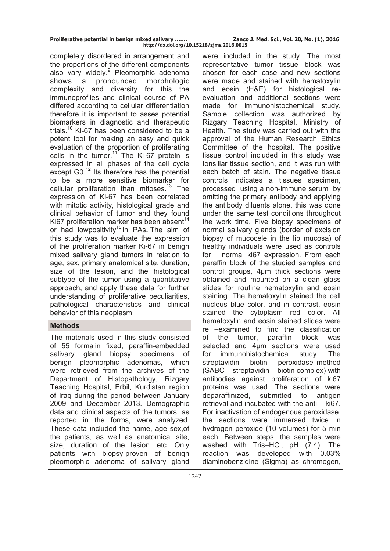| Proliferative potential in benign mixed salivary |  |  |                         |
|--------------------------------------------------|--|--|-------------------------|
|                                                  |  |  | http://dx.doi.org/10.15 |

completely disordered in arrangement and the proportions of the different components also vary widely.<sup>9</sup> Pleomorphic adenoma shows a pronounced morphologic complexity and diversity for this the immunoprofiles and clinical course of PA differed according to cellular differentiation therefore it is important to asses potential biomarkers in diagnostic and therapeutic trials.<sup>10</sup> Ki-67 has been considered to be a potent tool for making an easy and quick evaluation of the proportion of proliferating cells in the tumor.<sup>11</sup> The Ki-67 protein is expressed in all phases of the cell cycle except G0.<sup>12</sup> Its therefore has the potential to be a more sensitive biomarker for cellular proliferation than mitoses.<sup>13</sup> The expression of Ki-67 has been correlated with mitotic activity, histological grade and clinical behavior of tumor and they found Ki67 proliferation marker has been absent<sup>14</sup> or had lowpositivity15 in PAs**.** The aim of this study was to evaluate the expression of the proliferation marker Ki-67 in benign mixed salivary gland tumors in relation to age, sex, primary anatomical site, duration, size of the lesion, and the histological subtype of the tumor using a quantitative approach, and apply these data for further understanding of proliferative peculiarities, pathological characteristics and clinical behavior of this neoplasm.

# **Methods**

The materials used in this study consisted of 55 formalin fixed, paraffin-embedded salivary gland biopsy specimens of benign pleomorphic adenomas, which were retrieved from the archives of the Department of Histopathology, Rizgary Teaching Hospital, Erbil, Kurdistan region of Iraq during the period between January 2009 and December 2013. Demographic data and clinical aspects of the tumors, as reported in the forms, were analyzed. These data included the name, age sex,of the patients, as well as anatomical site, size, duration of the lesion…etc. Only patients with biopsy-proven of benign pleomorphic adenoma of salivary gland

were included in the study. The most representative tumor tissue block was chosen for each case and new sections were made and stained with hematoxylin and eosin (H&E) for histological reevaluation and additional sections were made for immunohistochemical study. Sample collection was authorized by Rizgary Teaching Hospital, Ministry of Health. The study was carried out with the approval of the Human Research Ethics Committee of the hospital. The positive tissue control included in this study was tonsillar tissue section, and it was run with each batch of stain. The negative tissue controls indicates a tissues specimen, processed using a non-immune serum by omitting the primary antibody and applying the antibody diluents alone, this was done under the same test conditions throughout the work time. Five biopsy specimens of normal salivary glands (border of excision biopsy of mucocele in the lip mucosa) of healthy individuals were used as controls for normal ki67 expression. From each paraffin block of the studied samples and control groups, 4µm thick sections were obtained and mounted on a clean glass slides for routine hematoxylin and eosin staining. The hematoxylin stained the cell nucleus blue color, and in contrast, eosin stained the cytoplasm red color. All hematoxylin and eosin stained slides were re –examined to find the classification of the tumor, paraffin block was selected and 4µm sections were used for immunohistochemical study. The streptavidin – biotin – peroxidase method (SABC – streptavidin – biotin complex) with antibodies against proliferation of ki67 proteins was used. The sections were deparaffinized, submitted to antigen retrieval and incubated with the anti – ki67. For inactivation of endogenous peroxidase, the sections were immersed twice in hydrogen peroxide (10 volumes) for 5 min each. Between steps, the samples were washed with Tris–HCl, pH (7.4). The reaction was developed with 0.03% diaminobenzidine (Sigma) as chromogen,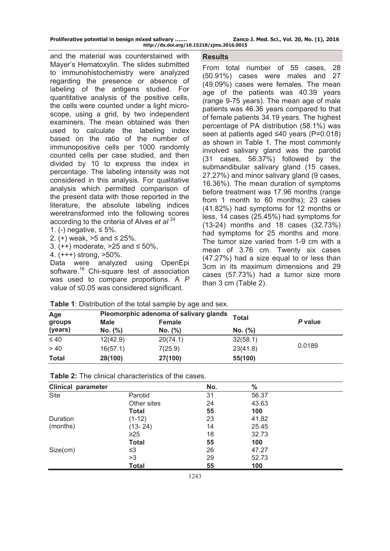| Proliferative potential in benign mixed salivary | Zanco J. Med. Sci., Vol. 20, No. (1), 2016 |
|--------------------------------------------------|--------------------------------------------|
| http://dx.doi.org/10.15218/zjms.2016.0015        |                                            |

and the material was counterstained with Mayer's Hematoxylin. The slides submitted to immunohistochemistry were analyzed regarding the presence or absence of labeling of the antigens studied. For quantitative analysis of the positive cells, the cells were counted under a light microscope, using a grid, by two independent examiners. The mean obtained was then used to calculate the labeling index based on the ratio of the number of immunopositive cells per 1000 randomly counted cells per case studied, and then divided by 10 to express the index in percentage. The labeling intensity was not considered in this analysis. For qualitative analysis which permitted comparison of the present data with those reported in the literature, the absolute labeling indices weretransformed into the following scores according to the criteria of Alves *et al* <sup>24</sup>

1. (−) negative,  $\leq 5\%$ .

2. (+) weak,  $>5$  and  $\leq$  25%.

3.  $(++)$  moderate, >25 and ≤ 50%.

4. (+++) strong, >50%.

Data were analyzed using OpenEpi software.<sup>16</sup> Chi-square test of association was used to compare proportions. A *P* value of ≤0.05 was considered significant.

#### **Results**

From total number of 55 cases, 28 (50.91%) cases were males and 27 (49.09%) cases were females. The mean age of the patients was 40.39 years (range 9-75 years). The mean age of male patients was 46.36 years compared to that of female patients 34.19 years. The highest percentage of PA distribution (58.1%) was seen at patients aged ≤40 years (P=0.018) as shown in Table 1. The most commonly involved salivary gland was the parotid (31 cases, 56.37%) followed by the submandibular salivary gland (15 cases, 27.27%) and minor salivary gland (9 cases, 16.36%). The mean duration of symptoms before treatment was 17.96 months (range from 1 month to 60 months); 23 cases (41.82%) had symptoms for 12 months or less, 14 cases (25.45%) had symptoms for (13-24) months and 18 cases (32.73%) had symptoms for 25 months and more. The tumor size varied from 1-9 cm with a mean of 3.76 cm. Twenty six cases (47.27%) had a size equal to or less than 3cm in its maximum dimensions and 29 cases (57.73%) had a tumor size more than 3 cm (Table 2).

| Age          |             | Pleomorphic adenoma of salivary glands |              |         |  |
|--------------|-------------|----------------------------------------|--------------|---------|--|
| groups       | <b>Male</b> | Female                                 | <b>Total</b> | P value |  |
| (years)      | No. (%)     | No. (%)                                | No. (%)      |         |  |
| $\leq 40$    | 12(42.9)    | 20(74.1)                               | 32(58.1)     |         |  |
| > 40         | 16(57.1)    | 7(25.9)                                | 23(41.8)     | 0.0189  |  |
| <b>Total</b> | 28(100)     | 27(100)                                | 55(100)      |         |  |

| <b>Table 1:</b> Distribution of the total sample by age and sex. |  |  |  |
|------------------------------------------------------------------|--|--|--|
|------------------------------------------------------------------|--|--|--|

| <b>Clinical parameter</b> |              | No. | $\%$  |  |
|---------------------------|--------------|-----|-------|--|
| Site                      | Parotid      | 31  | 56.37 |  |
|                           | Other sites  | 24  | 43.63 |  |
|                           | Total        | 55  | 100   |  |
| Duration                  | $(1-12)$     | 23  | 41.82 |  |
| (months)                  | $(13 - 24)$  | 14  | 25.45 |  |
|                           | $\geq$ 25    | 18  | 32.73 |  |
|                           | <b>Total</b> | 55  | 100   |  |
| Size(cm)                  | ≤3           | 26  | 47.27 |  |
|                           | >3           | 29  | 52.73 |  |
|                           | <b>Total</b> | 55  | 100   |  |

**Table 2:** The clinical characteristics of the cases.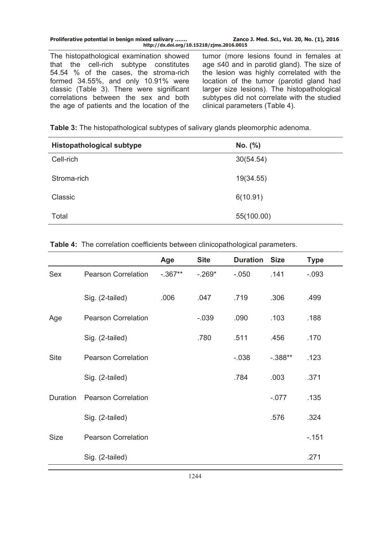| Proliferative potential in benign mixed salivary<br>http://dx.doi.org/10.15218/zjms.2016.0015 | Zanco J. Med. Sci., Vol. 20, No. (1), 2016 |
|-----------------------------------------------------------------------------------------------|--------------------------------------------|
|                                                                                               |                                            |

The histopathological examination showed that the cell-rich subtype constitutes 54.54 % of the cases, the stroma-rich formed 34.55%, and only 10.91% were classic (Table 3). There were significant correlations between the sex and both the age of patients and the location of the tumor (more lesions found in females at age ≤40 and in parotid gland). The size of the lesion was highly correlated with the location of the tumor (parotid gland had larger size lesions). The histopathological subtypes did not correlate with the studied clinical parameters (Table 4).

**Table 3:** The histopathological subtypes of salivary glands pleomorphic adenoma.

| <b>Histopathological subtype</b> | No. (%)    |
|----------------------------------|------------|
| Cell-rich                        | 30(54.54)  |
| Stroma-rich                      | 19(34.55)  |
| Classic                          | 6(10.91)   |
| Total                            | 55(100.00) |

**Table 4:** The correlation coefficients between clinicopathological parameters.

|             |                            | Age       | <b>Site</b> | <b>Duration</b> | <b>Size</b> | <b>Type</b> |
|-------------|----------------------------|-----------|-------------|-----------------|-------------|-------------|
| Sex         | <b>Pearson Correlation</b> | $-.367**$ | $-.269*$    | $-.050$         | .141        | $-.093$     |
|             | Sig. (2-tailed)            | .006      | .047        | .719            | .306        | .499        |
| Age         | <b>Pearson Correlation</b> |           | $-.039$     | .090            | .103        | .188        |
|             | Sig. (2-tailed)            |           | .780        | .511            | .456        | .170        |
| <b>Site</b> | <b>Pearson Correlation</b> |           |             | $-0.038$        | $-.388**$   | .123        |
|             | Sig. (2-tailed)            |           |             | .784            | .003        | .371        |
| Duration    | <b>Pearson Correlation</b> |           |             |                 | $-.077$     | .135        |
|             | Sig. (2-tailed)            |           |             |                 | .576        | .324        |
| <b>Size</b> | <b>Pearson Correlation</b> |           |             |                 |             | $-.151$     |
|             | Sig. (2-tailed)            |           |             |                 |             | .271        |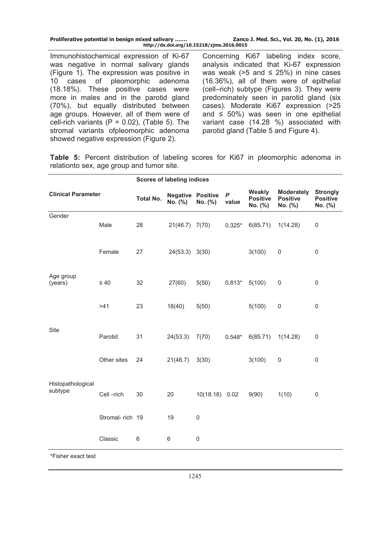| Proliferative potential in benign mixed salivary | Zanco J. Med. Sci., Vol. 20, No. (1), 2016 |
|--------------------------------------------------|--------------------------------------------|
| http://dx.doi.org/10.15218/zjms.2016.0015        |                                            |

Immunohistochemical expression of Ki-67 was negative in normal salivary glands (Figure 1). The expression was positive in 10 cases of pleomorphic adenoma (18.18%). These positive cases were more in males and in the parotid gland (70%), but equally distributed between age groups. However, all of them were of cell-rich variants ( $P = 0.02$ ), (Table 5). The stromal variants ofpleomorphic adenoma showed negative expression (Figure 2).

Concerning Ki67 labeling index score, analysis indicated that Ki-67 expression was weak ( $>5$  and  $\leq$  25%) in nine cases (16.36%), all of them were of epithelial (cell–rich) subtype (Figures 3). They were predominately seen in parotid gland (six cases). Moderate Ki67 expression (>25 and  $\leq 50\%$ ) was seen in one epithelial variant case (14.28 %) associated with parotid gland (Table 5 and Figure 4).

**Table 5:** Percent distribution of labeling scores for Ki67 in pleomorphic adenoma in relationto sex, age group and tumor site.

|                              |                 | <b>Scores of labeling indices</b> |                                     |                |                           |                                      |                                                 |                                               |
|------------------------------|-----------------|-----------------------------------|-------------------------------------|----------------|---------------------------|--------------------------------------|-------------------------------------------------|-----------------------------------------------|
| <b>Clinical Parameter</b>    |                 | <b>Total No.</b>                  | <b>Negative Positive</b><br>No. (%) | No. (%)        | $\boldsymbol{P}$<br>value | Weakly<br><b>Positive</b><br>No. (%) | <b>Moderately</b><br><b>Positive</b><br>No. (%) | <b>Strongly</b><br><b>Positive</b><br>No. (%) |
| Gender                       | Male            | 28                                | 21(46.7) 7(70)                      |                | $0.325*$                  | 6(85.71)                             | 1(14.28)                                        | $\pmb{0}$                                     |
|                              | Female          | 27                                | 24(53.3) 3(30)                      |                |                           | 3(100)                               | $\pmb{0}$                                       | $\pmb{0}$                                     |
| Age group<br>(years)         | $\leq 40$       | 32                                | 27(60)                              | 5(50)          | $0.813*$                  | 5(100)                               | $\pmb{0}$                                       | $\mathbf 0$                                   |
|                              | >41             | 23                                | 18(40)                              | 5(50)          |                           | 5(100)                               | $\mathsf 0$                                     | $\mathbf 0$                                   |
| Site                         | Parotid         | 31                                | 24(53.3)                            | 7(70)          | $0.548*$                  | 6(85.71)                             | 1(14.28)                                        | $\mathbf 0$                                   |
|                              | Other sites     | 24                                | 21(46.7)                            | 3(30)          |                           | 3(100)                               | $\pmb{0}$                                       | $\mathbf 0$                                   |
| Histopathological<br>subtype | Cell-rich       | 30                                | 20                                  | 10(18.18) 0.02 |                           | 9(90)                                | 1(10)                                           | $\mathbf 0$                                   |
|                              | Stromal-rich 19 |                                   | 19                                  | $\mathbf 0$    |                           |                                      |                                                 |                                               |
|                              | Classic         | 6                                 | 6                                   | $\mathsf 0$    |                           |                                      |                                                 |                                               |
| *Fisher exact test           |                 |                                   |                                     |                |                           |                                      |                                                 |                                               |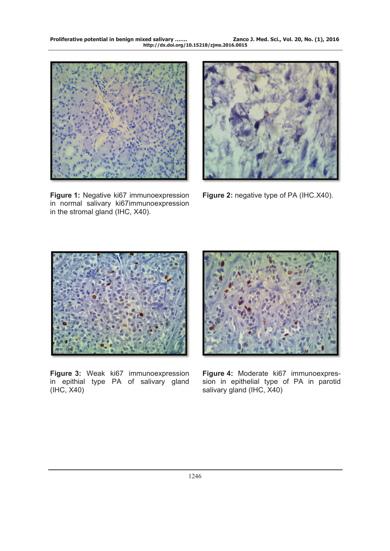

**Figure 1:** Negative ki67 immunoexpression in normal salivary ki67immunoexpression in the stromal gland (IHC, X40).



**Figure 2:** negative type of PA (IHC.X40).



**Figure 3:** Weak ki67 immunoexpression in epithial type PA of salivary gland (IHC, X40)



**Figure 4:** Moderate ki67 immunoexpression in epithelial type of PA in parotid salivary gland (IHC, X40)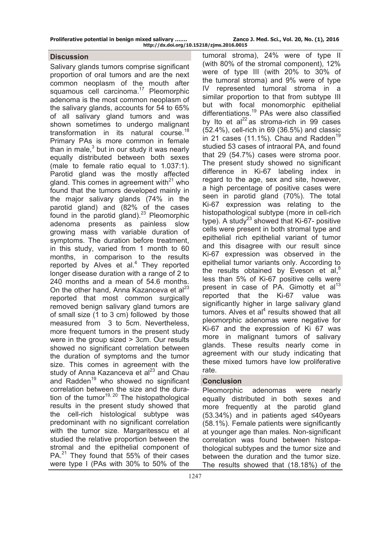| Proliferative potential in benign mixed salivary |                                           | Zanco |
|--------------------------------------------------|-------------------------------------------|-------|
|                                                  | http://dx.doi.org/10.15218/zjms.2016.0015 |       |

## **Discussion**

Salivary glands tumors comprise significant proportion of oral tumors and are the next common neoplasm of the mouth after squamous cell carcinoma.<sup>17</sup> Pleomorphic adenoma is the most common neoplasm of the salivary glands, accounts for 54 to 65% of all salivary gland tumors and was shown sometimes to undergo malignant transformation in its natural course.<sup>18</sup> Primary PAs is more common in female than in male, $3$  but in our study it was nearly equally distributed between both sexes (male to female ratio equal to 1.037:1). Parotid gland was the mostly affected gland. This comes in agreement with $^{21}$  who found that the tumors developed mainly in the major salivary glands (74% in the parotid gland) and (82% of the cases found in the parotid gland). $23$  Pleomorphic adenoma presents as painless slow growing mass with variable duration of symptoms. The duration before treatment, in this study, varied from 1 month to 60 months, in comparison to the results reported by Alves et al. $4$  They reported longer disease duration with a range of 2 to 240 months and a mean of 54.6 months. On the other hand, Anna Kazanceva et al<sup>23</sup> reported that most common surgically removed benign salivary gland tumors are of small size (1 to 3 cm) followed by those measured from 3 to 5cm. Nevertheless, more frequent tumors in the present study were in the group sized > 3cm. Our results showed no significant correlation between the duration of symptoms and the tumor size. This comes in agreement with the study of Anna Kazanceva et al<sup>23</sup> and Chau and Radden<sup>19</sup> who showed no significant correlation between the size and the duration of the tumor<sup>19, 20</sup> The histopathological results in the present study showed that the cell-rich histological subtype was predominant with no significant correlation with the tumor size. Margaritesscu et al studied the relative proportion between the stromal and the epithelial component of PA.<sup>21</sup> They found that 55% of their cases were type I (PAs with 30% to 50% of the

tumoral stroma), 24% were of type II (with 80% of the stromal component), 12% were of type III (with 20% to 30% of the tumoral stroma) and 9% were of type IV represented tumoral stroma in a similar proportion to that from subtype III but with focal monomorphic epithelial differentiations.<sup>19</sup> PAs were also classified by Ito et al $^{22}$  as stroma-rich in 99 cases (52.4%), cell-rich in 69 (36.5%) and classic in 21 cases (11.1%). Chau and Radden<sup>19</sup> studied 53 cases of intraoral PA, and found that 29 (54.7%) cases were stroma poor. The present study showed no significant difference in Ki-67 labeling index in regard to the age, sex and site, however, a high percentage of positive cases were seen in parotid gland (70%). The total Ki-67 expression was relating to the histopathological subtype (more in cell-rich type). A study<sup>23</sup> showed that Ki-67- positive cells were present in both stromal type and epithelial rich epithelial variant of tumor and this disagree with our result since Ki-67 expression was observed in the epithelial tumor variants only. According to the results obtained by Eveson et al, $8$ less than 5% of Ki-67 positive cells were present in case of PA. Gimotty et  $al<sup>13</sup>$ reported that the Ki-67 value was significantly higher in large salivary gland  $t$ umors. Alves et al $<sup>4</sup>$  results showed that all</sup> pleomorphic adenomas were negative for Ki-67 and the expression of Ki 67 was more in malignant tumors of salivary glands. These results nearly come in agreement with our study indicating that these mixed tumors have low proliferative rate.

# **Conclusion**

Pleomorphic adenomas were nearly equally distributed in both sexes and more frequently at the parotid gland (53.34%) and in patients aged ≤40years (58.1%). Female patients were significantly at younger age than males. Non-significant correlation was found between histopathological subtypes and the tumor size and between the duration and the tumor size. The results showed that (18.18%) of the